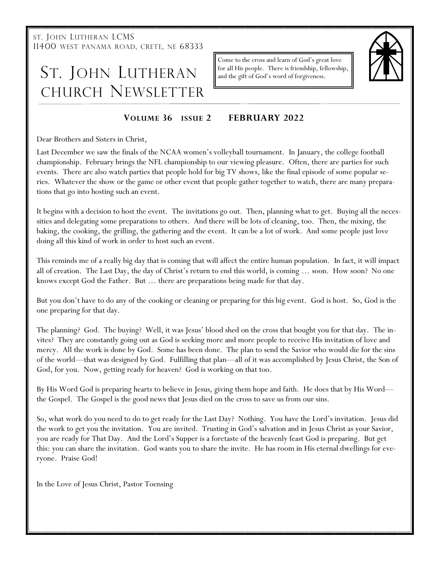ST. JOHN LUTHERAN LCMS 11400 WEST PANAMA ROAD, CRETE, NE 68333

# ST. JOHN LUTHERAN CHURCH NEWSLETTER

Come to the cross and learn of God's great love for all His people. There is friendship, fellowship, and the gift of God's word of forgiveness.



### **VOLUME 36 ISSUE 2 FEBRUARY 2022**

Dear Brothers and Sisters in Christ,

Last December we saw the finals of the NCAA women's volleyball tournament. In January, the college football championship. February brings the NFL championship to our viewing pleasure. Often, there are parties for such events. There are also watch parties that people hold for big TV shows, like the final episode of some popular series. Whatever the show or the game or other event that people gather together to watch, there are many preparations that go into hosting such an event.

It begins with a decision to host the event. The invitations go out. Then, planning what to get. Buying all the necessities and delegating some preparations to others. And there will be lots of cleaning, too. Then, the mixing, the baking, the cooking, the grilling, the gathering and the event. It can be a lot of work. And some people just love doing all this kind of work in order to host such an event.

This reminds me of a really big day that is coming that will affect the entire human population. In fact, it will impact all of creation. The Last Day, the day of Christ's return to end this world, is coming … soon. How soon? No one knows except God the Father. But … there are preparations being made for that day.

But you don't have to do any of the cooking or cleaning or preparing for this big event. God is host. So, God is the one preparing for that day.

The planning? God. The buying? Well, it was Jesus' blood shed on the cross that bought you for that day. The invites? They are constantly going out as God is seeking more and more people to receive His invitation of love and mercy. All the work is done by God. Some has been done. The plan to send the Savior who would die for the sins of the world—that was designed by God. Fulfilling that plan—all of it was accomplished by Jesus Christ, the Son of God, for you. Now, getting ready for heaven? God is working on that too.

By His Word God is preparing hearts to believe in Jesus, giving them hope and faith. He does that by His Word the Gospel. The Gospel is the good news that Jesus died on the cross to save us from our sins.

So, what work do you need to do to get ready for the Last Day? Nothing. You have the Lord's invitation. Jesus did the work to get you the invitation. You are invited. Trusting in God's salvation and in Jesus Christ as your Savior, you are ready for That Day. And the Lord's Supper is a foretaste of the heavenly feast God is preparing. But get this: you can share the invitation. God wants you to share the invite. He has room in His eternal dwellings for everyone. Praise God!

In the Love of Jesus Christ, Pastor Toensing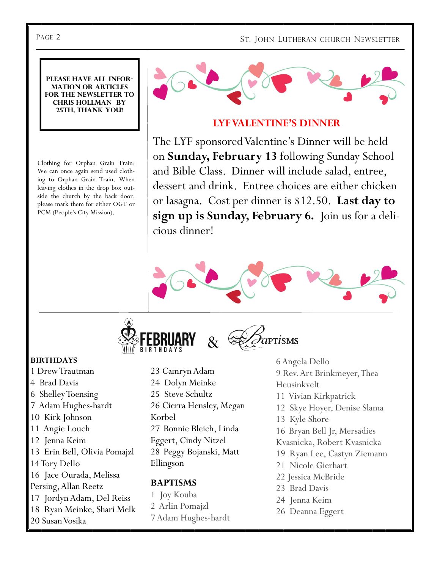**Please have all information or articles for the newsletter to Chris Hollman by 25th, thank you!**

Clothing for Orphan Grain Train: We can once again send used clothing to Orphan Grain Train. When leaving clothes in the drop box outside the church by the back door, please mark them for either OGT or PCM (People's City Mission).



## **LYF VALENTINE'S DINNER**

The LYF sponsored Valentine's Dinner will be held on **Sunday, February 13** following Sunday School and Bible Class. Dinner will include salad, entree, dessert and drink. Entree choices are either chicken or lasagna. Cost per dinner is \$12.50. **Last day to sign up is Sunday, February 6.** Join us for a delicious dinner!





#### **BIRTHDAYS**

- 1 Drew Trautman
- 4 Brad Davis
- 6 Shelley Toensing
- 7 Adam Hughes-hardt
- 10 Kirk Johnson
- 11 Angie Louch
- 12 Jenna Keim
- 13 Erin Bell, Olivia Pomajzl
- 14 Tory Dello
- 16 Jace Ourada, Melissa
- Persing, Allan Reetz
- 17 Jordyn Adam, Del Reiss
- 18 Ryan Meinke, Shari Melk
- 20 Susan Vosika
- 23 Camryn Adam 24 Dolyn Meinke
- 25 Steve Schultz
- 26 Cierra Hensley, Megan Korbel
- 27 Bonnie Bleich, Linda Eggert, Cindy Nitzel
- 28 Peggy Bojanski, Matt Ellingson

#### **BAPTISMS**

- 1 Joy Kouba
- 2 Arlin Pomajzl
- 7 Adam Hughes-hardt
- 6 Angela Dello 9 Rev. Art Brinkmeyer, Thea Heusinkvelt 11 Vivian Kirkpatrick 12 Skye Hoyer, Denise Slama 13 Kyle Shore 16 Bryan Bell Jr, Mersadies Kvasnicka, Robert Kvasnicka
- 19 Ryan Lee, Castyn Ziemann
- 21 Nicole Gierhart
- 22 Jessica McBride
- 23 Brad Davis
- 24 Jenna Keim
- 26 Deanna Eggert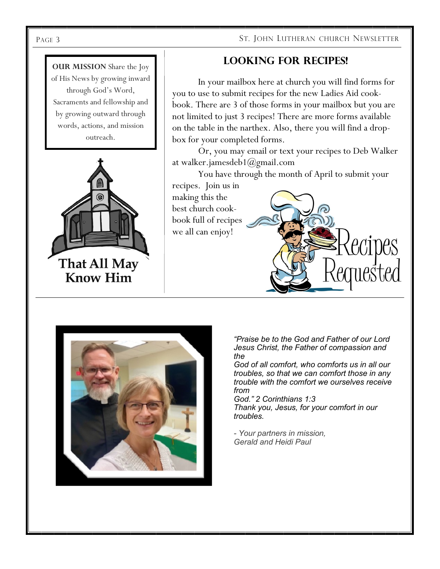#### PAGE 3 ST. JOHN LUTHERAN CHURCH NEWSLETTER

# **Looking for Recipes!**

In your mailbox here at church you will find forms for you to use to submit recipes for the new Ladies Aid cookbook. There are 3 of those forms in your mailbox but you are not limited to just 3 recipes! There are more forms available on the table in the narthex. Also, there you will find a dropbox for your completed forms.

Or, you may email or text your recipes to Deb Walker at [walker.jamesdeb1@gmail.com](mailto:walker.jamesdeb1@gmail.com)

You have through the month of April to submit your recipes. Join us in

making this the best church cookbook full of recipes we all can enjoy!

> *"Praise be to the God and Father of our Lord Jesus Christ, the Father of compassion and the*

*God of all comfort, who comforts us in all our troubles, so that we can comfort those in any trouble with the comfort we ourselves receive from*

*God." 2 Corinthians 1:3 Thank you, Jesus, for your comfort in our troubles.*

*- Your partners in mission, Gerald and Heidi Paul*





**OUR MISSION** Share the Joy of His News by growing inward through God's Word, Sacraments and fellowship and by growing outward through words, actions, and mission outreach.